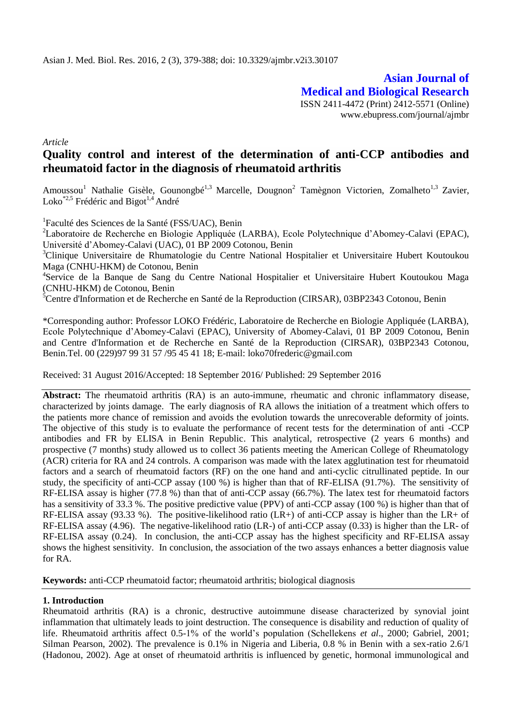**Asian Journal of Medical and Biological Research** ISSN 2411-4472 (Print) 2412-5571 (Online) www.ebupress.com/journal/ajmbr

*Article*

# **Quality control and interest of the determination of anti-CCP antibodies and rheumatoid factor in the diagnosis of rheumatoid arthritis**

Amoussou<sup>1</sup> Nathalie Gisèle, Gounongbé<sup>1,3</sup> Marcelle, Dougnon<sup>2</sup> Tamègnon Victorien, Zomalheto<sup>1,3</sup> Zavier, Loko<sup>\*2,5</sup> Frédéric and Bigot<sup>1,4</sup> André

1 Faculté des Sciences de la Santé (FSS/UAC), Benin

<sup>2</sup>Laboratoire de Recherche en Biologie Appliquée (LARBA), Ecole Polytechnique d'Abomey-Calavi (EPAC), Université d'Abomey-Calavi (UAC), 01 BP 2009 Cotonou, Benin

<sup>3</sup>Clinique Universitaire de Rhumatologie du Centre National Hospitalier et Universitaire Hubert Koutoukou Maga (CNHU-HKM) de Cotonou, Benin

<sup>4</sup>Service de la Banque de Sang du Centre National Hospitalier et Universitaire Hubert Koutoukou Maga (CNHU-HKM) de Cotonou, Benin

<sup>5</sup>Centre d'Information et de Recherche en Santé de la Reproduction (CIRSAR), 03BP2343 Cotonou, Benin

\*Corresponding author: Professor LOKO Frédéric, Laboratoire de Recherche en Biologie Appliquée (LARBA), Ecole Polytechnique d'Abomey-Calavi (EPAC), University of Abomey-Calavi, 01 BP 2009 Cotonou, Benin and Centre d'Information et de Recherche en Santé de la Reproduction (CIRSAR), 03BP2343 Cotonou, Benin.Tel. 00 (229)97 99 31 57 /95 45 41 18; E-mail: [loko70frederic@gmail.com](mailto:loko70frederic@gmail.com)

Received: 31 August 2016/Accepted: 18 September 2016/ Published: 29 September 2016

**Abstract:** The rheumatoid arthritis (RA) is an auto-immune, rheumatic and chronic inflammatory disease, characterized by joints damage. The early diagnosis of RA allows the initiation of a treatment which offers to the patients more chance of remission and avoids the evolution towards the unrecoverable deformity of joints. The objective of this study is to evaluate the performance of recent tests for the determination of anti -CCP antibodies and FR by ELISA in Benin Republic. This analytical, retrospective (2 years 6 months) and prospective (7 months) study allowed us to collect 36 patients meeting the American College of Rheumatology (ACR) criteria for RA and 24 controls. A comparison was made with the latex agglutination test for rheumatoid factors and a search of rheumatoid factors (RF) on the one hand and anti-cyclic citrullinated peptide. In our study, the specificity of anti-CCP assay (100 %) is higher than that of RF-ELISA (91.7%). The sensitivity of RF-ELISA assay is higher (77.8 %) than that of anti-CCP assay (66.7%). The latex test for rheumatoid factors has a sensitivity of 33.3 %. The positive predictive value (PPV) of anti-CCP assay (100 %) is higher than that of RF-ELISA assay (93.33 %). The positive-likelihood ratio (LR+) of anti-CCP assay is higher than the LR+ of RF-ELISA assay (4.96). The negative-likelihood ratio (LR-) of anti-CCP assay (0.33) is higher than the LR- of RF-ELISA assay (0.24). In conclusion, the anti-CCP assay has the highest specificity and RF-ELISA assay shows the highest sensitivity. In conclusion, the association of the two assays enhances a better diagnosis value for RA.

**Keywords:** anti-CCP rheumatoid factor; rheumatoid arthritis; biological diagnosis

## **1. Introduction**

Rheumatoid arthritis (RA) is a chronic, destructive autoimmune disease characterized by synovial joint inflammation that ultimately leads to joint destruction. The consequence is disability and reduction of quality of life. Rheumatoid arthritis affect 0.5-1% of the world's population (Schellekens *et al*., 2000; Gabriel, 2001; Silman Pearson, 2002). The prevalence is 0.1% in Nigeria and Liberia, 0.8 % in Benin with a sex-ratio 2.6/1 (Hadonou, 2002). Age at onset of rheumatoid arthritis is influenced by genetic, hormonal immunological and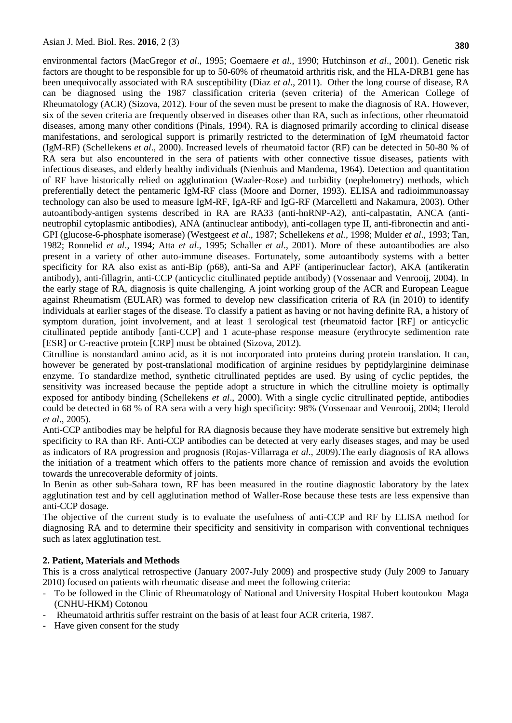environmental factors (MacGregor *et al*., 1995; Goemaere *et al*., 1990; Hutchinson *et al*., 2001). Genetic risk factors are thought to be responsible for up to 50-60% of rheumatoid arthritis risk, and the HLA-DRB1 gene has been unequivocally associated with RA susceptibility (Diaz *et al*., 2011). Other the long course of disease, RA can be diagnosed using the 1987 classification criteria (seven criteria) of the American College of Rheumatology (ACR) (Sizova, 2012). Four of the seven must be present to make the diagnosis of RA. However, six of the seven criteria are frequently observed in diseases other than RA, such as infections, other rheumatoid diseases, among many other conditions (Pinals, 1994). RA is diagnosed primarily according to clinical disease manifestations, and serological support is primarily restricted to the determination of IgM rheumatoid factor (IgM-RF) (Schellekens *et al*., 2000). Increased levels of rheumatoid factor (RF) can be detected in 50-80 % of RA sera but also encountered in the sera of patients with other connective tissue diseases, patients with infectious diseases, and elderly healthy individuals (Nienhuis and Mandema, 1964). Detection and quantitation of RF have historically relied on agglutination (Waaler-Rose) and turbidity (nephelometry) methods, which preferentially detect the pentameric IgM-RF class (Moore and Dorner, 1993). ELISA and radioimmunoassay technology can also be used to measure IgM-RF, IgA-RF and IgG-RF (Marcelletti and Nakamura, 2003). Other autoantibody-antigen systems described in RA are RA33 (anti-hnRNP-A2), anti-calpastatin, ANCA (antineutrophil cytoplasmic antibodies), ANA (antinuclear antibody), anti-collagen type II, anti-fibronectin and anti-GPI (glucose-6-phosphate isomerase) (Westgeest *et al*., 1987; Schellekens *et al.,* 1998; Mulder *et al*., 1993; Tan, 1982; Ronnelid *et al*., 1994; Atta *et al*., 1995; Schaller *et al*., 2001). More of these autoantibodies are also present in a variety of other auto-immune diseases. Fortunately, some autoantibody systems with a better specificity for RA also exist as anti-Bip (p68), anti-Sa and APF (antiperinuclear factor), AKA (antikeratin antibody), anti-fillagrin, anti-CCP (anticyclic citullinated peptide antibody) (Vossenaar and Venrooij, 2004). In the early stage of RA, diagnosis is quite challenging. A joint working group of the ACR and European League against Rheumatism (EULAR) was formed to develop new classification criteria of RA (in 2010) to identify individuals at earlier stages of the disease. To classify a patient as having or not having definite RA, a history of symptom duration, joint involvement, and at least 1 serological test (rheumatoid factor [RF] or anticyclic citullinated peptide antibody [anti-CCP] and 1 acute-phase response measure (erythrocyte sedimention rate [ESR] or C-reactive protein [CRP] must be obtained (Sizova, 2012).

Citrulline is nonstandard amino acid, as it is not incorporated into proteins during protein translation. It can, however be generated by post-translational modification of arginine residues by peptidylarginine deiminase enzyme. To standardize method, synthetic citrullinated peptides are used. By using of cyclic peptides, the sensitivity was increased because the peptide adopt a structure in which the citrulline moiety is optimally exposed for antibody binding (Schellekens *et al*., 2000). With a single cyclic citrullinated peptide, antibodies could be detected in 68 % of RA sera with a very high specificity: 98% (Vossenaar and Venrooij, 2004; Herold *et al*., 2005).

Anti-CCP antibodies may be helpful for RA diagnosis because they have moderate sensitive but extremely high specificity to RA than RF. Anti-CCP antibodies can be detected at very early diseases stages, and may be used as indicators of RA progression and prognosis (Rojas-Villarraga *et al*., 2009).The early diagnosis of RA allows the initiation of a treatment which offers to the patients more chance of remission and avoids the evolution towards the unrecoverable deformity of joints.

In Benin as other sub-Sahara town, RF has been measured in the routine diagnostic laboratory by the latex agglutination test and by cell agglutination method of Waller-Rose because these tests are less expensive than anti-CCP dosage.

The objective of the current study is to evaluate the usefulness of anti-CCP and RF by ELISA method for diagnosing RA and to determine their specificity and sensitivity in comparison with conventional techniques such as latex agglutination test.

## **2. Patient, Materials and Methods**

This is a cross analytical retrospective (January 2007-July 2009) and prospective study (July 2009 to January 2010) focused on patients with rheumatic disease and meet the following criteria:

- To be followed in the Clinic of Rheumatology of National and University Hospital Hubert koutoukou Maga (CNHU-HKM) Cotonou
- Rheumatoid arthritis suffer restraint on the basis of at least four ACR criteria, 1987.
- Have given consent for the study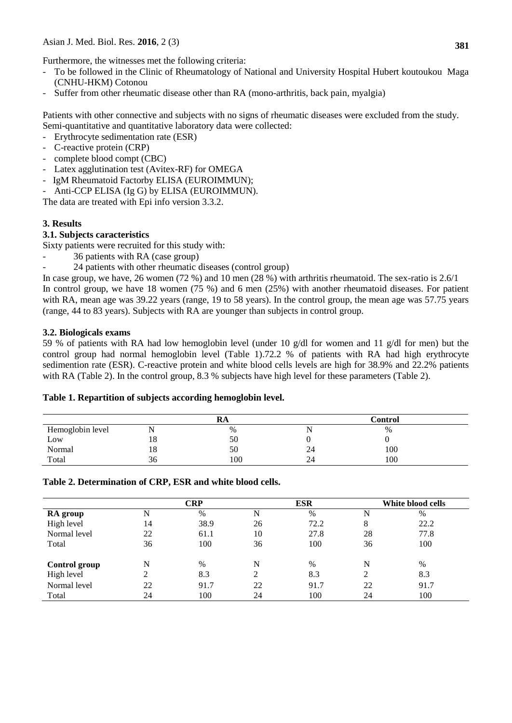Furthermore, the witnesses met the following criteria:

- To be followed in the Clinic of Rheumatology of National and University Hospital Hubert koutoukou Maga (CNHU-HKM) Cotonou
- Suffer from other rheumatic disease other than RA (mono-arthritis, back pain, myalgia)

Patients with other connective and subjects with no signs of rheumatic diseases were excluded from the study. Semi-quantitative and quantitative laboratory data were collected:

- Erythrocyte sedimentation rate (ESR)
- C-reactive protein (CRP)
- complete blood compt (CBC)
- Latex agglutination test (Avitex-RF) for OMEGA
- IgM Rheumatoid Factorby ELISA (EUROIMMUN);
- Anti-CCP ELISA (Ig G) by ELISA (EUROIMMUN).

The data are treated with Epi info version 3.3.2.

# **3. Results**

## **3.1. Subjects caracteristics**

Sixty patients were recruited for this study with:

- 36 patients with RA (case group)
- 24 patients with other rheumatic diseases (control group)

In case group, we have, 26 women (72 %) and 10 men (28 %) with arthritis rheumatoid. The sex-ratio is 2.6/1 In control group, we have 18 women (75 %) and 6 men (25%) with another rheumatoid diseases. For patient with RA, mean age was 39.22 years (range, 19 to 58 years). In the control group, the mean age was 57.75 years (range, 44 to 83 years). Subjects with RA are younger than subjects in control group.

## **3.2. Biologicals exams**

59 % of patients with RA had low hemoglobin level (under 10 g/dl for women and 11 g/dl for men) but the control group had normal hemoglobin level (Table 1).72.2 % of patients with RA had high erythrocyte sedimention rate (ESR). C-reactive protein and white blood cells levels are high for 38.9% and 22.2% patients with RA (Table 2). In the control group, 8.3 % subjects have high level for these parameters (Table 2).

## **Table 1. Repartition of subjects according hemoglobin level.**

|                  |    | кa   |    | <b>Control</b> |  |
|------------------|----|------|----|----------------|--|
| Hemoglobin level |    | $\%$ |    | $\%$           |  |
| Low              | 18 | 50   |    |                |  |
| Normal           | 18 | 50   | 24 | 100            |  |
| Total            | 36 | 100  | 24 | 100            |  |

## **Table 2. Determination of CRP, ESR and white blood cells.**

|               |    | CRP  |               | ESR  |    | White blood cells |  |
|---------------|----|------|---------------|------|----|-------------------|--|
| RA group      | N  | $\%$ | N             | $\%$ | N  | $\%$              |  |
| High level    | 14 | 38.9 | 26            | 72.2 | 8  | 22.2              |  |
| Normal level  | 22 | 61.1 | 10            | 27.8 | 28 | 77.8              |  |
| Total         | 36 | 100  | 36            | 100  | 36 | 100               |  |
| Control group | N  | %    | N             | $\%$ | N  | %                 |  |
| High level    | 2  | 8.3  | $\mathcal{L}$ | 8.3  | 2  | 8.3               |  |
| Normal level  | 22 | 91.7 | 22            | 91.7 | 22 | 91.7              |  |
| Total         | 24 | 100  | 24            | 100  | 24 | 100               |  |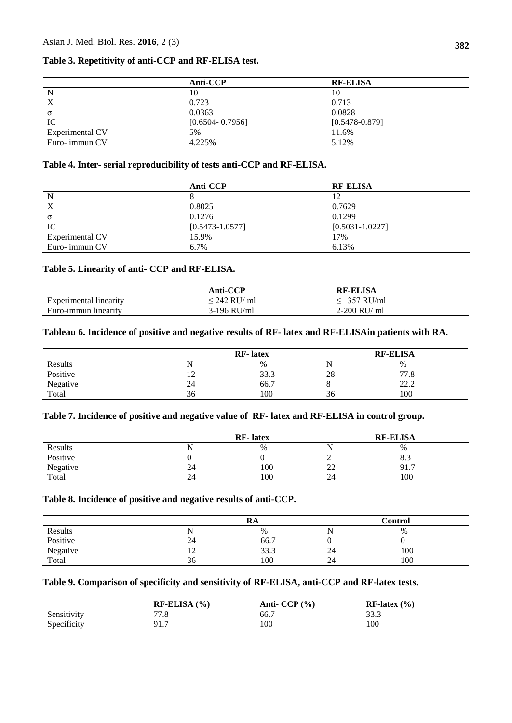## **Table 3. Repetitivity of anti-CCP and RF-ELISA test.**

| Anti-CCP            | <b>RF-ELISA</b>    |
|---------------------|--------------------|
| 10                  | 10                 |
| 0.723               | 0.713              |
| 0.0363              | 0.0828             |
| $[0.6504 - 0.7956]$ | $[0.5478 - 0.879]$ |
| 5%                  | 11.6%              |
| 4.225%              | 5.12%              |
|                     |                    |

## **Table 4. Inter- serial reproducibility of tests anti-CCP and RF-ELISA.**

|                 | Anti-CCP            | <b>RF-ELISA</b>     |
|-----------------|---------------------|---------------------|
| N               |                     | 12                  |
| X               | 0.8025              | 0.7629              |
| σ               | 0.1276              | 0.1299              |
| IC              | $[0.5473 - 1.0577]$ | $[0.5031 - 1.0227]$ |
| Experimental CV | 15.9%               | 17%                 |
| Euro-immun CV   | 6.7%                | 6.13%               |

# **Table 5. Linearity of anti- CCP and RF-ELISA.**

|                               | Anti-CCP     | <b>RF-ELISA</b> |  |
|-------------------------------|--------------|-----------------|--|
| <b>Experimental linearity</b> | < 242 RU/ ml | $<$ 357 RU/ml   |  |
| Euro-immun linearity          | 3-196 RU/ml  | $2-200$ RU/ ml  |  |

## **Tableau 6. Incidence of positive and negative results of RF- latex and RF-ELISAin patients with RA.**

|          |    | <b>RF-</b> latex |         | <b>RF-ELISA</b> |  |
|----------|----|------------------|---------|-----------------|--|
| Results  |    | $\%$             | N       | $\%$            |  |
| Positive | ⊥∠ | 33.3             | 28      | 77.8            |  |
| Negative | 24 | 66.7             | $\circ$ | 22.2            |  |
| Total    | 36 | 100              | 36      | 100             |  |

## **Table 7. Incidence of positive and negative value of RF- latex and RF-ELISA in control group.**

|          |    | <b>RF-</b> latex |              | <b>RF-ELISA</b> |  |
|----------|----|------------------|--------------|-----------------|--|
| Results  |    | $\%$             |              | $\%$            |  |
| Positive |    |                  |              | 8.3             |  |
| Negative | 24 | 100              | $\cap$<br>∠∠ | 91.7            |  |
| Total    | 24 | 100              | 24           | 100             |  |

## **Table 8. Incidence of positive and negative results of anti-CCP.**

|          |    | RA   |    | Control |  |
|----------|----|------|----|---------|--|
| Results  |    | $\%$ |    | %       |  |
| Positive | 24 | 66.7 |    |         |  |
| Negative | 12 | 33.3 | 24 | 100     |  |
| Total    | 36 | 100  | 24 | 100     |  |

## **Table 9. Comparison of specificity and sensitivity of RF-ELISA, anti-CCP and RF-latex tests.**

|             | <b>RF-ELISA</b><br>(% | Anti- $CCP$ $(\% )$ | $RF-latex(%)$ |
|-------------|-----------------------|---------------------|---------------|
| Sensitivity | 77 O<br>1.0           | 66.7                | 222<br>JJ.J   |
| Specificity | Q17<br>71. I          | 100                 | 100           |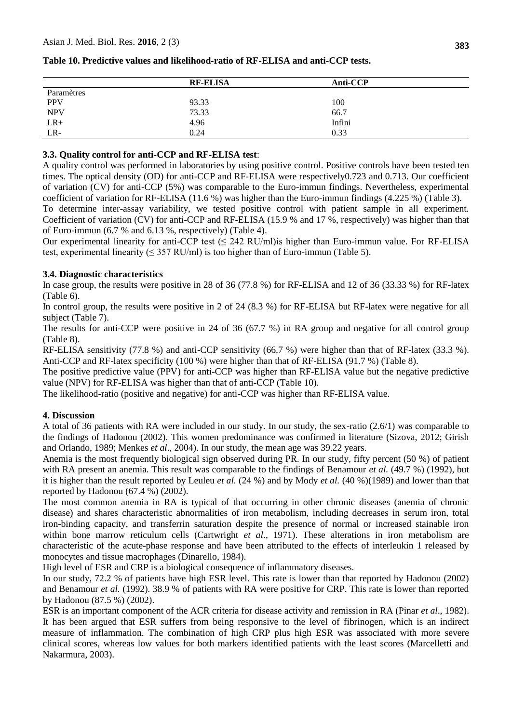|            | <b>RF-ELISA</b> | Anti-CCP |
|------------|-----------------|----------|
| Paramètres |                 |          |
| <b>PPV</b> | 93.33           | 100      |
| <b>NPV</b> | 73.33           | 66.7     |
| $LR+$      | 4.96            | Infini   |
| LR-        | 0.24            | 0.33     |

## **Table 10. Predictive values and likelihood-ratio of RF-ELISA and anti-CCP tests.**

## **3.3. Quality control for anti-CCP and RF-ELISA test**:

A quality control was performed in laboratories by using positive control. Positive controls have been tested ten times. The optical density (OD) for anti-CCP and RF-ELISA were respectively0.723 and 0.713. Our coefficient of variation (CV) for anti-CCP (5%) was comparable to the Euro-immun findings. Nevertheless, experimental coefficient of variation for RF-ELISA (11.6 %) was higher than the Euro-immun findings (4.225 %) (Table 3).

To determine inter-assay variability, we tested positive control with patient sample in all experiment. Coefficient of variation (CV) for anti-CCP and RF-ELISA (15.9 % and 17 %, respectively) was higher than that of Euro-immun (6.7 % and 6.13 %, respectively) (Table 4).

Our experimental linearity for anti-CCP test  $(\leq 242 \text{ RU/ml})$  higher than Euro-immun value. For RF-ELISA test, experimental linearity ( $\leq$  357 RU/ml) is too higher than of Euro-immun (Table 5).

## **3.4. Diagnostic characteristics**

In case group, the results were positive in 28 of 36 (77.8 %) for RF-ELISA and 12 of 36 (33.33 %) for RF-latex (Table 6).

In control group, the results were positive in 2 of 24 (8.3 %) for RF-ELISA but RF-latex were negative for all subject (Table 7).

The results for anti-CCP were positive in 24 of 36 (67.7 %) in RA group and negative for all control group (Table 8).

RF-ELISA sensitivity (77.8 %) and anti-CCP sensitivity (66.7 %) were higher than that of RF-latex (33.3 %). Anti-CCP and RF-latex specificity (100 %) were higher than that of RF-ELISA (91.7 %) (Table 8).

The positive predictive value (PPV) for anti-CCP was higher than RF-ELISA value but the negative predictive value (NPV) for RF-ELISA was higher than that of anti-CCP (Table 10).

The likelihood-ratio (positive and negative) for anti-CCP was higher than RF-ELISA value.

## **4. Discussion**

A total of 36 patients with RA were included in our study. In our study, the sex-ratio (2.6/1) was comparable to the findings of Hadonou (2002). This women predominance was confirmed in literature (Sizova, 2012; Girish and Orlando, 1989; Menkes *et al*., 2004). In our study, the mean age was 39.22 years.

Anemia is the most frequently biological sign observed during PR. In our study, fifty percent (50 %) of patient with RA present an anemia. This result was comparable to the findings of Benamour *et al.* (49.7 %) (1992), but it is higher than the result reported by Leuleu *et al.* (24 %) and by Mody *et al.* (40 %)(1989) and lower than that reported by Hadonou (67.4 %) (2002).

The most common anemia in RA is typical of that occurring in other chronic diseases (anemia of chronic disease) and shares characteristic abnormalities of iron metabolism, including decreases in serum iron, total iron-binding capacity, and transferrin saturation despite the presence of normal or increased stainable iron within bone marrow reticulum cells (Cartwright *et al*., 1971). These alterations in iron metabolism are characteristic of the acute-phase response and have been attributed to the effects of interleukin 1 released by monocytes and tissue macrophages (Dinarello, 1984).

High level of ESR and CRP is a biological consequence of inflammatory diseases.

In our study, 72.2 % of patients have high ESR level. This rate is lower than that reported by Hadonou (2002) and Benamour *et al.* (1992). 38.9 % of patients with RA were positive for CRP. This rate is lower than reported by Hadonou (87.5 %) (2002).

ESR is an important component of the ACR criteria for disease activity and remission in RA (Pinar *et al*., 1982). It has been argued that ESR suffers from being responsive to the level of fibrinogen, which is an indirect measure of inflammation. The combination of high CRP plus high ESR was associated with more severe clinical scores, whereas low values for both markers identified patients with the least scores (Marcelletti and Nakarmura, 2003).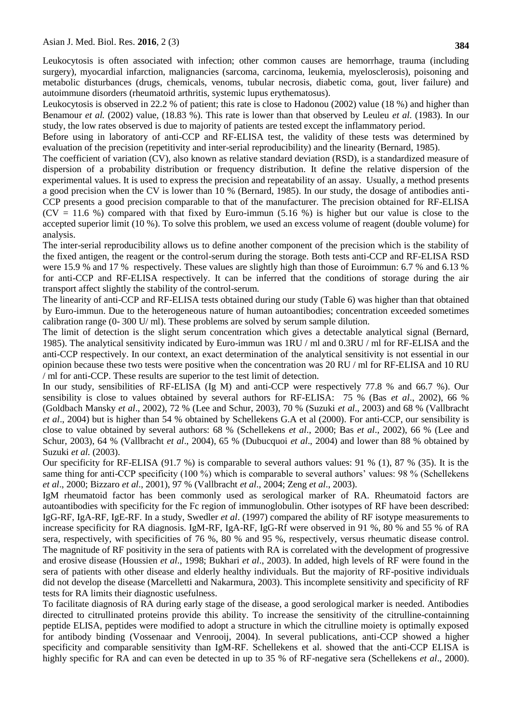Leukocytosis is often associated with infection; other common causes are hemorrhage, trauma (including surgery), myocardial infarction, malignancies (sarcoma, carcinoma, leukemia, myelosclerosis), poisoning and metabolic disturbances (drugs, chemicals, venoms, tubular necrosis, diabetic coma, gout, liver failure) and autoimmune disorders (rheumatoid arthritis, systemic lupus erythematosus).

Leukocytosis is observed in 22.2 % of patient; this rate is close to Hadonou (2002) value (18 %) and higher than Benamour *et al.* (2002) value, (18.83 %). This rate is lower than that observed by Leuleu *et al.* (1983). In our study, the low rates observed is due to majority of patients are tested except the inflammatory period.

Before using in laboratory of anti-CCP and RF-ELISA test, the validity of these tests was determined by evaluation of the precision (repetitivity and inter-serial reproducibility) and the linearity (Bernard, 1985).

The coefficient of variation (CV), also known as relative standard deviation (RSD), is a standardized measure of dispersion of a probability distribution or frequency distribution. It define the relative dispersion of the experimental values. It is used to express the precision and repeatability of an assay. Usually, a method presents a good precision when the CV is lower than 10 % (Bernard, 1985). In our study, the dosage of antibodies anti-CCP presents a good precision comparable to that of the manufacturer. The precision obtained for RF-ELISA  $(CV = 11.6$  %) compared with that fixed by Euro-immun (5.16 %) is higher but our value is close to the accepted superior limit (10 %). To solve this problem, we used an excess volume of reagent (double volume) for analysis.

The inter-serial reproducibility allows us to define another component of the precision which is the stability of the fixed antigen, the reagent or the control-serum during the storage. Both tests anti-CCP and RF-ELISA RSD were 15.9 % and 17 % respectively. These values are slightly high than those of Euroimmun: 6.7 % and 6.13 % for anti-CCP and RF-ELISA respectively. It can be inferred that the conditions of storage during the air transport affect slightly the stability of the control-serum.

The linearity of anti-CCP and RF-ELISA tests obtained during our study (Table 6) was higher than that obtained by Euro-immun. Due to the heterogeneous nature of human autoantibodies; concentration exceeded sometimes calibration range  $(0-300 \text{ U/m})$ . These problems are solved by serum sample dilution.

The limit of detection is the slight serum concentration which gives a detectable analytical signal (Bernard, 1985). The analytical sensitivity indicated by Euro-immun was 1RU / ml and 0.3RU / ml for RF-ELISA and the anti-CCP respectively. In our context, an exact determination of the analytical sensitivity is not essential in our opinion because these two tests were positive when the concentration was 20 RU / ml for RF-ELISA and 10 RU / ml for anti-CCP. These results are superior to the test limit of detection.

In our study, sensibilities of RF-ELISA (Ig M) and anti-CCP were respectively 77.8 % and 66.7 %). Our sensibility is close to values obtained by several authors for RF-ELISA: 75 % (Bas *et al*., 2002), 66 % (Goldbach Mansky *et al*., 2002), 72 % (Lee and Schur, 2003), 70 % (Suzuki *et al*., 2003) and 68 % (Vallbracht *et al*., 2004) but is higher than 54 % obtained by Schellekens G.A et al (2000). For anti-CCP, our sensibility is close to value obtained by several authors: 68 % (Schellekens *et al*., 2000; Bas *et al*., 2002), 66 % (Lee and Schur, 2003), 64 % (Vallbracht *et al*., 2004), 65 % (Dubucquoi *et al*., 2004) and lower than 88 % obtained by Suzuki *et al.* (2003).

Our specificity for RF-ELISA (91.7 %) is comparable to several authors values: 91 % (1), 87 % (35). It is the same thing for anti-CCP specificity (100 %) which is comparable to several authors' values: 98 % (Schellekens *et al*., 2000; Bizzaro *et al*., 2001), 97 % (Vallbracht *et al*., 2004; Zeng *et al*., 2003).

IgM rheumatoid factor has been commonly used as serological marker of RA. Rheumatoid factors are autoantibodies with specificity for the Fc region of immunoglobulin. Other isotypes of RF have been described: IgG-RF, IgA-RF, IgE-RF. In a study, Swedler *et al*. (1997) compared the ability of RF isotype measurements to increase specificity for RA diagnosis. IgM-RF, IgA-RF, IgG-Rf were observed in 91 %, 80 % and 55 % of RA sera, respectively, with specificities of 76 %, 80 % and 95 %, respectively, versus rheumatic disease control. The magnitude of RF positivity in the sera of patients with RA is correlated with the development of progressive and erosive disease (Houssien *et al*., 1998; Bukhari *et al*., 2003). In added, high levels of RF were found in the sera of patients with other disease and elderly healthy individuals. But the majority of RF-positive individuals did not develop the disease (Marcelletti and Nakarmura, 2003). This incomplete sensitivity and specificity of RF tests for RA limits their diagnostic usefulness.

To facilitate diagnosis of RA during early stage of the disease, a good serological marker is needed. Antibodies directed to citrullinated proteins provide this ability. To increase the sensitivity of the citrulline-containning peptide ELISA, peptides were modified to adopt a structure in which the citrulline moiety is optimally exposed for antibody binding (Vossenaar and Venrooij, 2004). In several publications, anti-CCP showed a higher specificity and comparable sensitivity than IgM-RF. Schellekens et al. showed that the anti-CCP ELISA is highly specific for RA and can even be detected in up to 35 % of RF-negative sera (Schellekens *et al*., 2000).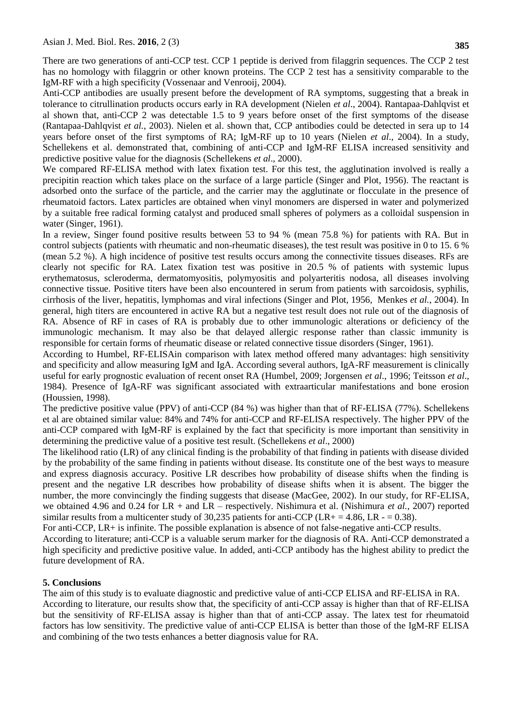There are two generations of anti-CCP test. CCP 1 peptide is derived from filaggrin sequences. The CCP 2 test has no homology with filaggrin or other known proteins. The CCP 2 test has a sensitivity comparable to the IgM-RF with a high specificity (Vossenaar and Venrooij, 2004).

Anti-CCP antibodies are usually present before the development of RA symptoms, suggesting that a break in tolerance to citrullination products occurs early in RA development (Nielen *et al*., 2004). Rantapaa-Dahlqvist et al shown that, anti-CCP 2 was detectable 1.5 to 9 years before onset of the first symptoms of the disease (Rantapaa-Dahlqvist *et al.*, 2003). Nielen et al. shown that, CCP antibodies could be detected in sera up to 14 years before onset of the first symptoms of RA; IgM-RF up to 10 years (Nielen *et al*., 2004). In a study, Schellekens et al. demonstrated that, combining of anti-CCP and IgM-RF ELISA increased sensitivity and predictive positive value for the diagnosis (Schellekens *et al*., 2000).

We compared RF-ELISA method with latex fixation test. For this test, the agglutination involved is really a precipitin reaction which takes place on the surface of a large particle (Singer and Plot, 1956). The reactant is adsorbed onto the surface of the particle, and the carrier may the agglutinate or flocculate in the presence of rheumatoid factors. Latex particles are obtained when vinyl monomers are dispersed in water and polymerized by a suitable free radical forming catalyst and produced small spheres of polymers as a colloidal suspension in water (Singer, 1961).

In a review, Singer found positive results between 53 to 94 % (mean 75.8 %) for patients with RA. But in control subjects (patients with rheumatic and non-rheumatic diseases), the test result was positive in 0 to 15. 6 % (mean 5.2 %). A high incidence of positive test results occurs among the connectivite tissues diseases. RFs are clearly not specific for RA. Latex fixation test was positive in 20.5 % of patients with systemic lupus erythematosus, scleroderma, dermatomyositis, polymyositis and polyarteritis nodosa, all diseases involving connective tissue. Positive titers have been also encountered in serum from patients with sarcoidosis, syphilis, cirrhosis of the liver, hepatitis, lymphomas and viral infections (Singer and Plot, 1956, Menkes *et al.*, 2004). In general, high titers are encountered in active RA but a negative test result does not rule out of the diagnosis of RA. Absence of RF in cases of RA is probably due to other immunologic alterations or deficiency of the immunologic mechanism. It may also be that delayed allergic response rather than classic immunity is responsible for certain forms of rheumatic disease or related connective tissue disorders (Singer, 1961).

According to Humbel, RF-ELISAin comparison with latex method offered many advantages: high sensitivity and specificity and allow measuring IgM and IgA. According several authors, IgA-RF measurement is clinically useful for early prognostic evaluation of recent onset RA (Humbel, 2009; Jorgensen *et al*., 1996; Teitsson *et al*., 1984). Presence of IgA-RF was significant associated with extraarticular manifestations and bone erosion (Houssien, 1998).

The predictive positive value (PPV) of anti-CCP (84 %) was higher than that of RF-ELISA (77%). Schellekens et al are obtained similar value: 84% and 74% for anti-CCP and RF-ELISA respectively. The higher PPV of the anti-CCP compared with IgM-RF is explained by the fact that specificity is more important than sensitivity in determining the predictive value of a positive test result. (Schellekens *et al*., 2000)

The likelihood ratio (LR) of any clinical finding is the probability of that finding in patients with disease divided by the probability of the same finding in patients without disease. Its constitute one of the best ways to measure and express diagnosis accuracy. Positive LR describes how probability of disease shifts when the finding is present and the negative LR describes how probability of disease shifts when it is absent. The bigger the number, the more convincingly the finding suggests that disease (MacGee, 2002). In our study, for RF-ELISA, we obtained 4.96 and 0.24 for LR + and LR – respectively. Nishimura et al. (Nishimura *et al.,* 2007) reported similar results from a multicenter study of 30,235 patients for anti-CCP (LR+ = 4.86, LR - = 0.38).

For anti-CCP, LR+ is infinite. The possible explanation is absence of not false-negative anti-CCP results.

According to literature; anti-CCP is a valuable serum marker for the diagnosis of RA. Anti-CCP demonstrated a high specificity and predictive positive value. In added, anti-CCP antibody has the highest ability to predict the future development of RA.

#### **5. Conclusions**

The aim of this study is to evaluate diagnostic and predictive value of anti-CCP ELISA and RF-ELISA in RA. According to literature, our results show that, the specificity of anti-CCP assay is higher than that of RF-ELISA but the sensitivity of RF-ELISA assay is higher than that of anti-CCP assay. The latex test for rheumatoid factors has low sensitivity. The predictive value of anti-CCP ELISA is better than those of the IgM-RF ELISA and combining of the two tests enhances a better diagnosis value for RA.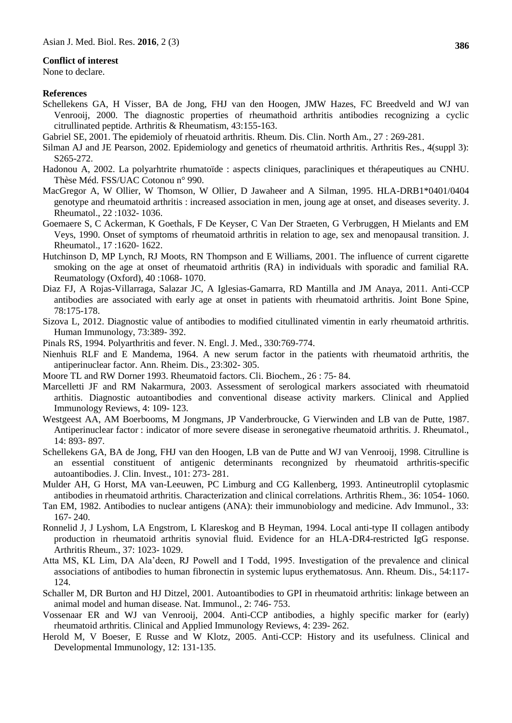#### **Conflict of interest**

None to declare.

#### **References**

- Schellekens GA, H Visser, BA de Jong, FHJ van den Hoogen, JMW Hazes, FC Breedveld and WJ van Venrooij, 2000. The diagnostic properties of rheumathoid arthritis antibodies recognizing a cyclic citrullinated peptide. Arthritis & Rheumatism, 43:155-163.
- Gabriel SE, 2001. The epidemioly of rheuatoid arthritis. Rheum. Dis. Clin. North Am., 27 : 269-281.
- Silman AJ and JE Pearson, 2002. Epidemiology and genetics of rheumatoid arthritis. Arthritis Res., 4(suppl 3): S265-272.
- Hadonou A, 2002. La polyarhtrite rhumatoïde : aspects cliniques, paracliniques et thérapeutiques au CNHU. Thèse Méd. FSS/UAC Cotonou n° 990.
- MacGregor A, W Ollier, W Thomson, W Ollier, D Jawaheer and A Silman, 1995. HLA-DRB1\*0401/0404 genotype and rheumatoid arthritis : increased association in men, joung age at onset, and diseases severity. J. Rheumatol., 22 :1032- 1036.
- Goemaere S, C Ackerman, K Goethals, F De Keyser, C Van Der Straeten, G Verbruggen, H Mielants and EM Veys, 1990. Onset of symptoms of rheumatoid arthritis in relation to age, sex and menopausal transition. J. Rheumatol., 17 :1620- 1622.
- Hutchinson D, MP Lynch, RJ Moots, RN Thompson and E Williams, 2001. The influence of current cigarette smoking on the age at onset of rheumatoid arthritis (RA) in individuals with sporadic and familial RA. Reumatology (Oxford), 40 :1068- 1070.
- Diaz FJ, A Rojas-Villarraga, Salazar JC, A Iglesias-Gamarra, RD Mantilla and JM Anaya, 2011. Anti-CCP antibodies are associated with early age at onset in patients with rheumatoid arthritis. Joint Bone Spine, 78:175-178.
- Sizova L, 2012. Diagnostic value of antibodies to modified citullinated vimentin in early rheumatoid arthritis. Human Immunology, 73:389- 392.
- Pinals RS, 1994. Polyarthritis and fever. N. Engl. J. Med., 330:769-774.
- Nienhuis RLF and E Mandema, 1964. A new serum factor in the patients with rheumatoid arthritis, the antiperinuclear factor. Ann. Rheim. Dis., 23:302- 305.
- Moore TL and RW Dorner 1993. Rheumatoid factors. Cli. Biochem., 26 : 75- 84.
- Marcelletti JF and RM Nakarmura, 2003. Assessment of serological markers associated with rheumatoid arthitis. Diagnostic autoantibodies and conventional disease activity markers. Clinical and Applied Immunology Reviews, 4: 109- 123.
- Westgeest AA, AM Boerbooms, M Jongmans, JP Vanderbroucke, G Vierwinden and LB van de Putte, 1987. Antiperinuclear factor : indicator of more severe disease in seronegative rheumatoid arthritis. J. Rheumatol., 14: 893- 897.
- Schellekens GA, BA de Jong, FHJ van den Hoogen, LB van de Putte and WJ van Venrooij, 1998. Citrulline is an essential constituent of antigenic determinants recongnized by rheumatoid arthritis-specific autoantibodies. J. Clin. Invest., 101: 273- 281.
- Mulder AH, G Horst, MA van-Leeuwen, PC Limburg and CG Kallenberg, 1993. Antineutroplil cytoplasmic antibodies in rheumatoid arthritis. Characterization and clinical correlations. Arthritis Rhem., 36: 1054- 1060.
- Tan EM, 1982. Antibodies to nuclear antigens (ANA): their immunobiology and medicine. Adv Immunol., 33: 167- 240.
- Ronnelid J, J Lyshom, LA Engstrom, L Klareskog and B Heyman, 1994. Local anti-type II collagen antibody production in rheumatoid arthritis synovial fluid. Evidence for an HLA-DR4-restricted IgG response. Arthritis Rheum., 37: 1023- 1029.
- Atta MS, KL Lim, DA Ala'deen, RJ Powell and I Todd, 1995. Investigation of the prevalence and clinical associations of antibodies to human fibronectin in systemic lupus erythematosus. Ann. Rheum. Dis., 54:117- 124.
- Schaller M, DR Burton and HJ Ditzel, 2001. Autoantibodies to GPI in rheumatoid arthritis: linkage between an animal model and human disease. Nat. Immunol., 2: 746- 753.
- Vossenaar ER and WJ van Venrooij, 2004. Anti-CCP antibodies, a highly specific marker for (early) rheumatoid arthritis. Clinical and Applied Immunology Reviews, 4: 239- 262.
- Herold M, V Boeser, E Russe and W Klotz, 2005. Anti-CCP: History and its usefulness. Clinical and Developmental Immunology, 12: 131-135.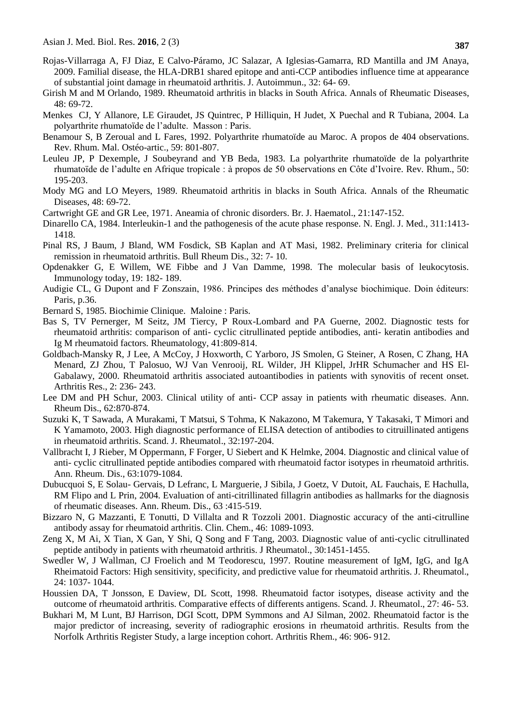- Rojas-Villarraga A, FJ Diaz, E Calvo-Páramo, JC Salazar, A Iglesias-Gamarra, RD Mantilla and JM Anaya, 2009. Familial disease, the HLA-DRB1 shared epitope and anti-CCP antibodies influence time at appearance of substantial joint damage in rheumatoid arthritis. J. Autoimmun., 32: 64- 69.
- Girish M and M Orlando, 1989. Rheumatoid arthritis in blacks in South Africa. Annals of Rheumatic Diseases, 48: 69-72.
- Menkes CJ, Y Allanore, LE Giraudet, JS Quintrec, P Hilliquin, H Judet, X Puechal and R Tubiana, 2004. La polyarthrite rhumatoïde de l'adulte. Masson : Paris.
- Benamour S, B Zeroual and L Fares, 1992. Polyarthrite rhumatoïde au Maroc. A propos de 404 observations. Rev. Rhum. Mal. Ostéo-artic., 59: 801-807.
- Leuleu JP, P Dexemple, J Soubeyrand and YB Beda, 1983. La polyarthrite rhumatoïde de la polyarthrite rhumatoïde de l'adulte en Afrique tropicale : à propos de 50 observations en Côte d'Ivoire. Rev. Rhum., 50: 195-203.
- Mody MG and LO Meyers, 1989. Rheumatoid arthritis in blacks in South Africa. Annals of the Rheumatic Diseases, 48: 69-72.
- Cartwright GE and GR Lee, 1971. Aneamia of chronic disorders. Br. J. Haematol., 21:147-152.
- Dinarello CA, 1984. Interleukin-1 and the pathogenesis of the acute phase response. N. Engl. J. Med., 311:1413- 1418.
- Pinal RS, J Baum, J Bland, WM Fosdick, SB Kaplan and AT Masi, 1982. Preliminary criteria for clinical remission in rheumatoid arthritis. Bull Rheum Dis., 32: 7- 10.
- Opdenakker G, E Willem, WE Fibbe and J Van Damme, 1998. The molecular basis of leukocytosis. Immunology today, 19: 182- 189.
- Audigie CL, G Dupont and F Zonszain, 1986. Principes des méthodes d'analyse biochimique. Doin éditeurs: Paris, p.36.
- Bernard S, 1985. Biochimie Clinique. Maloine : Paris.
- Bas S, TV Pernerger, M Seitz, JM Tiercy, P Roux-Lombard and PA Guerne, 2002. Diagnostic tests for rheumatoid arthritis: comparison of anti- cyclic citrullinated peptide antibodies, anti- keratin antibodies and Ig M rheumatoid factors. Rheumatology, 41:809-814.
- Goldbach-Mansky R, J Lee, A McCoy, J Hoxworth, C Yarboro, JS Smolen, G Steiner, A Rosen, C Zhang, HA Menard, ZJ Zhou, T Palosuo, WJ Van Venrooij, RL Wilder, JH Klippel, JrHR Schumacher and HS El-Gabalawy, 2000. Rheumatoid arthritis associated autoantibodies in patients with synovitis of recent onset. Arthritis Res., 2: 236- 243.
- Lee DM and PH Schur, 2003. Clinical utility of anti- CCP assay in patients with rheumatic diseases. Ann. Rheum Dis., 62:870-874.
- Suzuki K, T Sawada, A Murakami, T Matsui, S Tohma, K Nakazono, M Takemura, Y Takasaki, T Mimori and K Yamamoto, 2003. High diagnostic performance of ELISA detection of antibodies to citruillinated antigens in rheumatoid arthritis. Scand. J. Rheumatol., 32:197-204.
- Vallbracht I, J Rieber, M Oppermann, F Forger, U Siebert and K Helmke, 2004. Diagnostic and clinical value of anti- cyclic citrullinated peptide antibodies compared with rheumatoid factor isotypes in rheumatoid arthritis. Ann. Rheum. Dis., 63:1079-1084.
- Dubucquoi S, E Solau- Gervais, D Lefranc, L Marguerie, J Sibila, J Goetz, V Dutoit, AL Fauchais, E Hachulla, RM Flipo and L Prin, 2004. Evaluation of anti-citrillinated fillagrin antibodies as hallmarks for the diagnosis of rheumatic diseases. Ann. Rheum. Dis., 63 :415-519.
- Bizzaro N, G Mazzanti, E Tonutti, D Villalta and R Tozzoli 2001. Diagnostic accuracy of the anti-citrulline antibody assay for rheumatoid arthritis. Clin. Chem., 46: 1089-1093.
- Zeng X, M Ai, X Tian, X Gan, Y Shi, Q Song and F Tang, 2003. Diagnostic value of anti-cyclic citrullinated peptide antibody in patients with rheumatoid arthritis. J Rheumatol., 30:1451-1455.
- Swedler W, J Wallman, CJ Froelich and M Teodorescu, 1997. Routine measurement of IgM, IgG, and IgA Rheimatoid Factors: High sensitivity, specificity, and predictive value for rheumatoid arthritis. J. Rheumatol., 24: 1037- 1044.
- Houssien DA, T Jonsson, E Daview, DL Scott, 1998. Rheumatoid factor isotypes, disease activity and the outcome of rheumatoid arthritis. Comparative effects of differents antigens. Scand. J. Rheumatol., 27: 46- 53.
- Bukhari M, M Lunt, BJ Harrison, DGI Scott, DPM Symmons and AJ Silman, 2002. Rheumatoid factor is the major predictor of increasing, severity of radiographic erosions in rheumatoid arthritis. Results from the Norfolk Arthritis Register Study, a large inception cohort. Arthritis Rhem., 46: 906- 912.